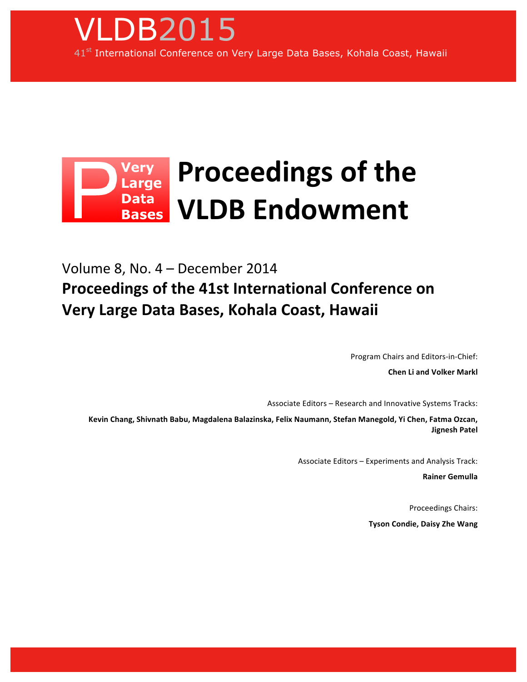

## **Proceedings of the** Verv very<br>Large **Data VLDB!Endowment Bases**

Volume 8, No. 4 – December 2014 **Proceedings of the 41st International Conference on Very Large Data Bases, Kohala Coast, Hawaii** 

Program Chairs and Editors-in-Chief:

**Chen Li and Volker Markl** 

Associate Editors – Research and Innovative Systems Tracks:

Kevin Chang, Shivnath Babu, Magdalena Balazinska, Felix Naumann, Stefan Manegold, Yi Chen, Fatma Ozcan, **Jignesh!Patel**

Associate Editors – Experiments and Analysis Track:

**Rainer!Gemulla**

Proceedings Chairs: **Tyson Condie, Daisy Zhe Wang**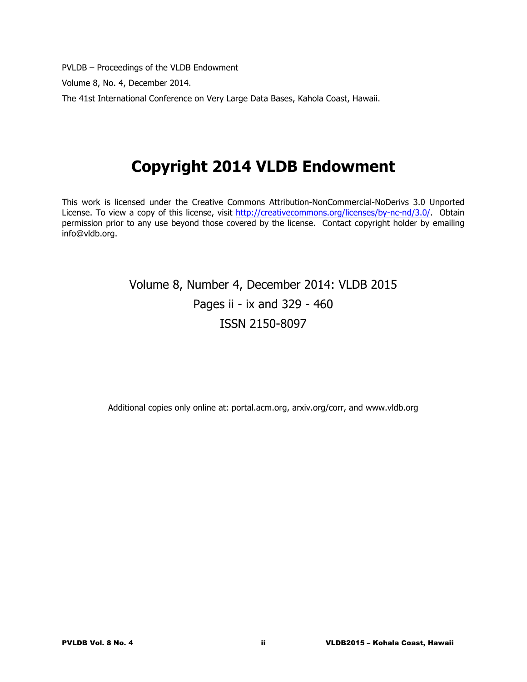PVLDB – Proceedings of the VLDB Endowment

Volume 8, No. 4, December 2014.

The 41st International Conference on Very Large Data Bases, Kahola Coast, Hawaii.

# **Copyright 2014 VLDB Endowment**

This work is licensed under the Creative Commons Attribution-NonCommercial-NoDerivs 3.0 Unported License. To view a copy of this license, visit http://creativecommons.org/licenses/by-nc-nd/3.0/. Obtain permission prior to any use beyond those covered by the license. Contact copyright holder by emailing info@vldb.org.

## Volume 8, Number 4, December 2014: VLDB 2015 Pages ii - ix and 329 - 460 ISSN 2150-8097

Additional copies only online at: portal.acm.org, arxiv.org/corr, and www.vldb.org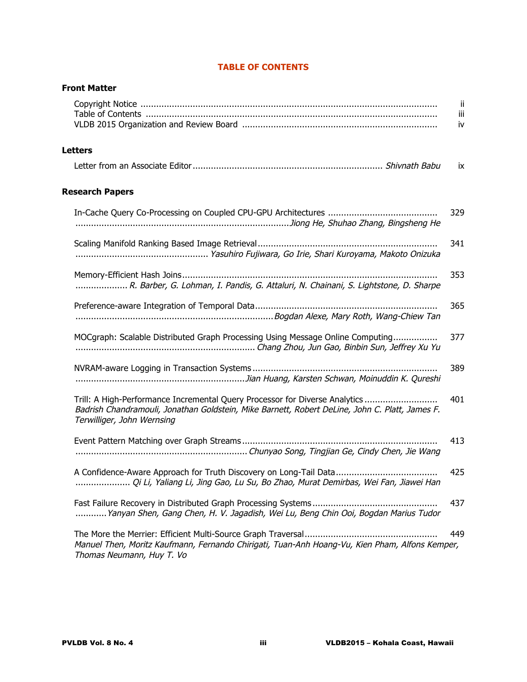| <b>Front Matter</b>                                                                                                                                                                                         |                 |
|-------------------------------------------------------------------------------------------------------------------------------------------------------------------------------------------------------------|-----------------|
|                                                                                                                                                                                                             | Ϊİ<br>iίi<br>iv |
| <b>Letters</b>                                                                                                                                                                                              |                 |
|                                                                                                                                                                                                             | ÎΧ.             |
| <b>Research Papers</b>                                                                                                                                                                                      |                 |
|                                                                                                                                                                                                             | 329             |
|                                                                                                                                                                                                             | 341             |
| R. Barber, G. Lohman, I. Pandis, G. Attaluri, N. Chainani, S. Lightstone, D. Sharpe                                                                                                                         | 353             |
|                                                                                                                                                                                                             | 365             |
| MOCgraph: Scalable Distributed Graph Processing Using Message Online Computing                                                                                                                              | 377             |
|                                                                                                                                                                                                             | 389             |
| Trill: A High-Performance Incremental Query Processor for Diverse Analytics<br>Badrish Chandramouli, Jonathan Goldstein, Mike Barnett, Robert DeLine, John C. Platt, James F.<br>Terwilliger, John Wernsing | 401             |
|                                                                                                                                                                                                             | 413             |
| Qi Li, Yaliang Li, Jing Gao, Lu Su, Bo Zhao, Murat Demirbas, Wei Fan, Jiawei Han                                                                                                                            | 425             |
| Yanyan Shen, Gang Chen, H. V. Jagadish, Wei Lu, Beng Chin Ooi, Bogdan Marius Tudor                                                                                                                          | 437             |
| Manuel Then, Moritz Kaufmann, Fernando Chirigati, Tuan-Anh Hoang-Vu, Kien Pham, Alfons Kemper,<br>Thomas Neumann, Huy T. Vo                                                                                 | 449             |

## **TABLE OF CONTENTS**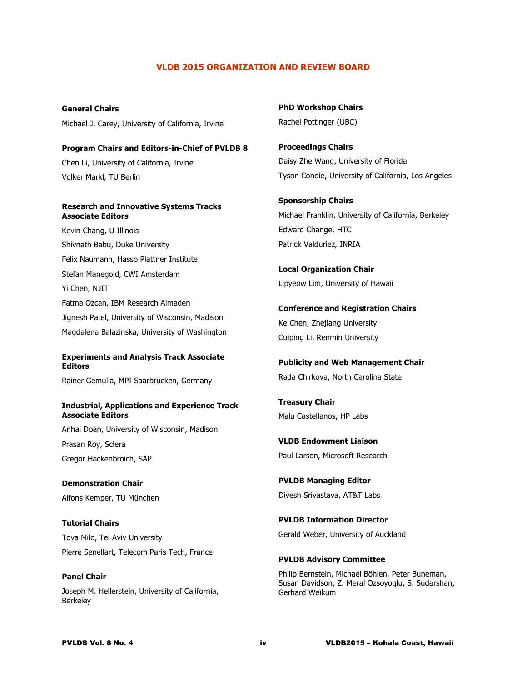#### **VLDB 2015 ORGANIZATION AND REVIEW BOARD**

**General Chairs** Michael J. Carey, University of California, Irvine

**Program Chairs and Editors-in-Chief of PVLDB 8** Chen Li, University of California, Irvine Volker Markl, TU Berlin

#### **Research and Innovative Systems Tracks Associate Editors**

Kevin Chang, U Illinois Shivnath Babu, Duke University Felix Naumann, Hasso Plattner Institute Stefan Manegold, CWI Amsterdam Yi Chen, NJIT Fatma Ozcan, IBM Research Almaden Jignesh Patel, University of Wisconsin, Madison Magdalena Balazinska, University of Washington

#### **Experiments and Analysis Track Associate Editors**

Rainer Gemulla, MPI Saarbrücken, Germany

#### **Industrial, Applications and Experience Track Associate Editors**

Anhai Doan, University of Wisconsin, Madison Prasan Roy, Sclera Gregor Hackenbroich, SAP

**Demonstration Chair** Alfons Kemper, TU München

**Tutorial Chairs** Tova Milo, Tel Aviv University Pierre Senellart, Telecom Paris Tech, France

Joseph M. Hellerstein, University of California, Berkeley

**PhD Workshop Chairs** Rachel Pottinger (UBC)

**Proceedings Chairs** Daisy Zhe Wang, University of Florida Tyson Condie, University of California, Los Angeles

**Sponsorship Chairs** Michael Franklin, University of California, Berkeley Edward Change, HTC Patrick Valduriez, INRIA

**Local Organization Chair** Lipyeow Lim, University of Hawaii

**Conference and Registration Chairs** Ke Chen, Zhejiang University Cuiping Li, Renmin University

**Publicity and Web Management Chair** Rada Chirkova, North Carolina State

**Treasury Chair** Malu Castellanos, HP Labs

**VLDB Endowment Liaison** Paul Larson, Microsoft Research

**PVLDB Managing Editor** Divesh Srivastava, AT&T Labs

**PVLDB Information Director** Gerald Weber, University of Auckland

**PVLDB Advisory Committee**

Philip Bernstein, Michael Böhlen, Peter Buneman, Susan Davidson, Z. Meral Ozsoyoglu, S. Sudarshan, Gerhard Weikum

**Panel Chair**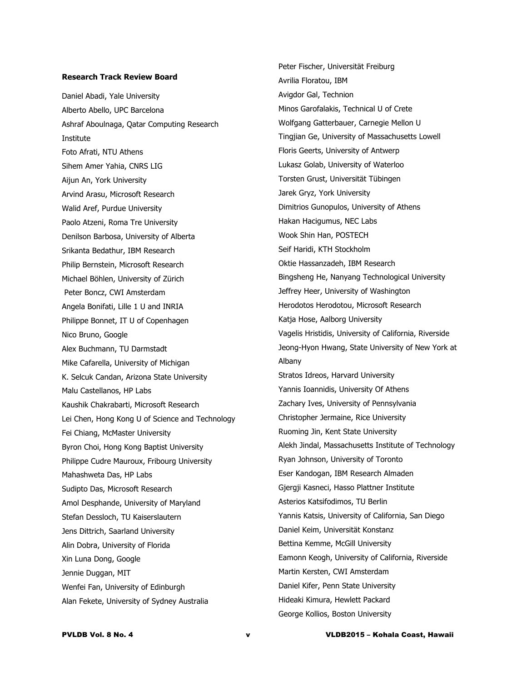#### **Research Track Review Board**

Daniel Abadi, Yale University Alberto Abello, UPC Barcelona Ashraf Aboulnaga, Qatar Computing Research Institute Foto Afrati, NTU Athens Sihem Amer Yahia, CNRS LIG Aijun An, York University Arvind Arasu, Microsoft Research Walid Aref, Purdue University Paolo Atzeni, Roma Tre University Denilson Barbosa, University of Alberta Srikanta Bedathur, IBM Research Philip Bernstein, Microsoft Research Michael Böhlen, University of Zürich Peter Boncz, CWI Amsterdam Angela Bonifati, Lille 1 U and INRIA Philippe Bonnet, IT U of Copenhagen Nico Bruno, Google Alex Buchmann, TU Darmstadt Mike Cafarella, University of Michigan K. Selcuk Candan, Arizona State University Malu Castellanos, HP Labs Kaushik Chakrabarti, Microsoft Research Lei Chen, Hong Kong U of Science and Technology Fei Chiang, McMaster University Byron Choi, Hong Kong Baptist University Philippe Cudre Mauroux, Fribourg University Mahashweta Das, HP Labs Sudipto Das, Microsoft Research Amol Desphande, University of Maryland Stefan Dessloch, TU Kaiserslautern Jens Dittrich, Saarland University Alin Dobra, University of Florida Xin Luna Dong, Google Jennie Duggan, MIT Wenfei Fan, University of Edinburgh Alan Fekete, University of Sydney Australia

Peter Fischer, Universität Freiburg Avrilia Floratou, IBM Avigdor Gal, Technion Minos Garofalakis, Technical U of Crete Wolfgang Gatterbauer, Carnegie Mellon U Tingjian Ge, University of Massachusetts Lowell Floris Geerts, University of Antwerp Lukasz Golab, University of Waterloo Torsten Grust, Universität Tübingen Jarek Gryz, York University Dimitrios Gunopulos, University of Athens Hakan Hacigumus, NEC Labs Wook Shin Han, POSTECH Seif Haridi, KTH Stockholm Oktie Hassanzadeh, IBM Research Bingsheng He, Nanyang Technological University Jeffrey Heer, University of Washington Herodotos Herodotou, Microsoft Research Katja Hose, Aalborg University Vagelis Hristidis, University of California, Riverside Jeong-Hyon Hwang, State University of New York at Albany Stratos Idreos, Harvard University Yannis Ioannidis, University Of Athens Zachary Ives, University of Pennsylvania Christopher Jermaine, Rice University Ruoming Jin, Kent State University Alekh Jindal, Massachusetts Institute of Technology Ryan Johnson, University of Toronto Eser Kandogan, IBM Research Almaden Gjergji Kasneci, Hasso Plattner Institute Asterios Katsifodimos, TU Berlin Yannis Katsis, University of California, San Diego Daniel Keim, Universität Konstanz Bettina Kemme, McGill University Eamonn Keogh, University of California, Riverside Martin Kersten, CWI Amsterdam Daniel Kifer, Penn State University Hideaki Kimura, Hewlett Packard George Kollios, Boston University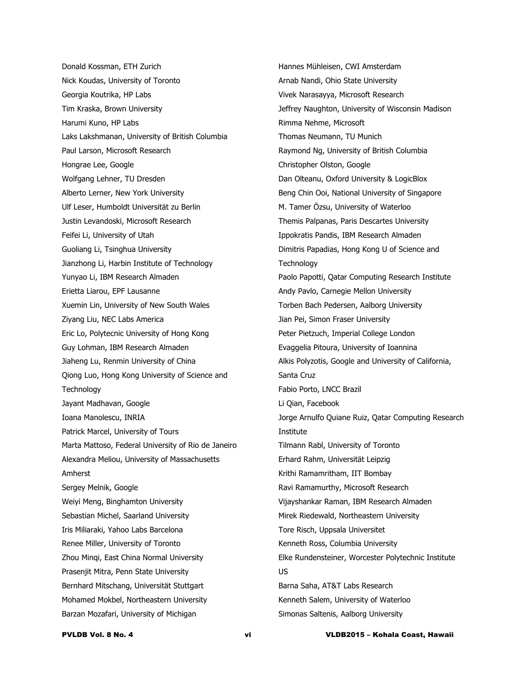Donald Kossman, ETH Zurich Nick Koudas, University of Toronto Georgia Koutrika, HP Labs Tim Kraska, Brown University Harumi Kuno, HP Labs Laks Lakshmanan, University of British Columbia Paul Larson, Microsoft Research Hongrae Lee, Google Wolfgang Lehner, TU Dresden Alberto Lerner, New York University Ulf Leser, Humboldt Universität zu Berlin Justin Levandoski, Microsoft Research Feifei Li, University of Utah Guoliang Li, Tsinghua University Jianzhong Li, Harbin Institute of Technology Yunyao Li, IBM Research Almaden Erietta Liarou, EPF Lausanne Xuemin Lin, University of New South Wales Ziyang Liu, NEC Labs America Eric Lo, Polytecnic University of Hong Kong Guy Lohman, IBM Research Almaden Jiaheng Lu, Renmin University of China Qiong Luo, Hong Kong University of Science and **Technology** Jayant Madhavan, Google Ioana Manolescu, INRIA Patrick Marcel, University of Tours Marta Mattoso, Federal University of Rio de Janeiro Alexandra Meliou, University of Massachusetts Amherst Sergey Melnik, Google Weiyi Meng, Binghamton University Sebastian Michel, Saarland University Iris Miliaraki, Yahoo Labs Barcelona Renee Miller, University of Toronto Zhou Minqi, East China Normal University Prasenjit Mitra, Penn State University Bernhard Mitschang, Universität Stuttgart Mohamed Mokbel, Northeastern University Barzan Mozafari, University of Michigan

Hannes Mühleisen, CWI Amsterdam Arnab Nandi, Ohio State University Vivek Narasayya, Microsoft Research Jeffrey Naughton, University of Wisconsin Madison Rimma Nehme, Microsoft Thomas Neumann, TU Munich Raymond Ng, University of British Columbia Christopher Olston, Google Dan Olteanu, Oxford University & LogicBlox Beng Chin Ooi, National University of Singapore M. Tamer Özsu, University of Waterloo Themis Palpanas, Paris Descartes University Ippokratis Pandis, IBM Research Almaden Dimitris Papadias, Hong Kong U of Science and **Technology** Paolo Papotti, Qatar Computing Research Institute Andy Pavlo, Carnegie Mellon University Torben Bach Pedersen, Aalborg University Jian Pei, Simon Fraser University Peter Pietzuch, Imperial College London Evaggelia Pitoura, University of Ioannina Alkis Polyzotis, Google and University of California, Santa Cruz Fabio Porto, LNCC Brazil Li Qian, Facebook Jorge Arnulfo Quiane Ruiz, Qatar Computing Research Institute Tilmann Rabl, University of Toronto Erhard Rahm, Universität Leipzig Krithi Ramamritham, IIT Bombay Ravi Ramamurthy, Microsoft Research Vijayshankar Raman, IBM Research Almaden Mirek Riedewald, Northeastern University Tore Risch, Uppsala Universitet Kenneth Ross, Columbia University Elke Rundensteiner, Worcester Polytechnic Institute US Barna Saha, AT&T Labs Research Kenneth Salem, University of Waterloo Simonas Saltenis, Aalborg University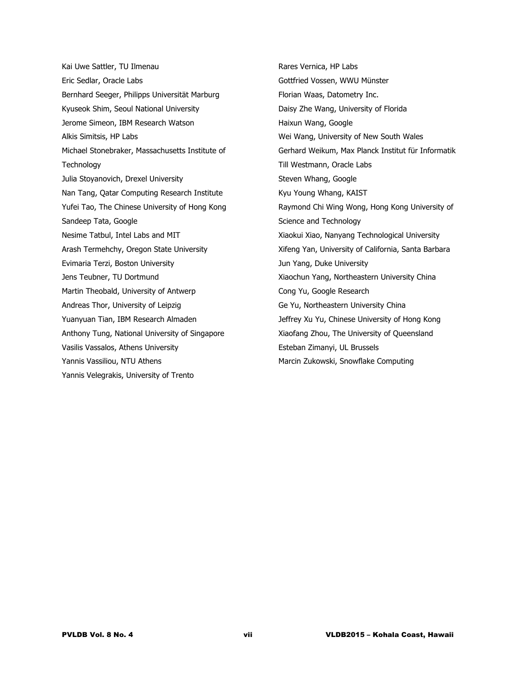Kai Uwe Sattler, TU Ilmenau Eric Sedlar, Oracle Labs Bernhard Seeger, Philipps Universität Marburg Kyuseok Shim, Seoul National University Jerome Simeon, IBM Research Watson Alkis Simitsis, HP Labs Michael Stonebraker, Massachusetts Institute of **Technology** Julia Stoyanovich, Drexel University Nan Tang, Qatar Computing Research Institute Yufei Tao, The Chinese University of Hong Kong Sandeep Tata, Google Nesime Tatbul, Intel Labs and MIT Arash Termehchy, Oregon State University Evimaria Terzi, Boston University Jens Teubner, TU Dortmund Martin Theobald, University of Antwerp Andreas Thor, University of Leipzig Yuanyuan Tian, IBM Research Almaden Anthony Tung, National University of Singapore Vasilis Vassalos, Athens University Yannis Vassiliou, NTU Athens Yannis Velegrakis, University of Trento

Rares Vernica, HP Labs Gottfried Vossen, WWU Münster Florian Waas, Datometry Inc. Daisy Zhe Wang, University of Florida Haixun Wang, Google Wei Wang, University of New South Wales Gerhard Weikum, Max Planck Institut für Informatik Till Westmann, Oracle Labs Steven Whang, Google Kyu Young Whang, KAIST Raymond Chi Wing Wong, Hong Kong University of Science and Technology Xiaokui Xiao, Nanyang Technological University Xifeng Yan, University of California, Santa Barbara Jun Yang, Duke University Xiaochun Yang, Northeastern University China Cong Yu, Google Research Ge Yu, Northeastern University China Jeffrey Xu Yu, Chinese University of Hong Kong Xiaofang Zhou, The University of Queensland Esteban Zimanyi, UL Brussels Marcin Zukowski, Snowflake Computing